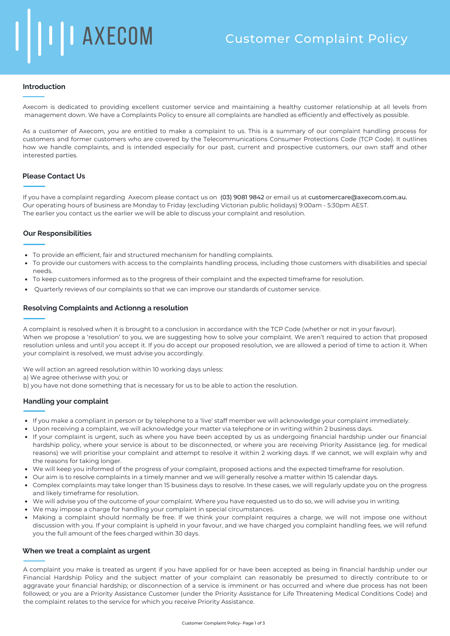## **Introduction**

Axecom is dedicated to providing excellent customer service and maintaining a healthy customer relationship at all levels from management down. We have a Complaints Policy to ensure all complaints are handled as efficiently and effectively as possible.

As a customer of Axecom, you are entitled to make a complaint to us. This is a summary of our complaint handling process for customers and former customers who are covered by the Telecommunications Consumer Protections Code (TCP Code). It outlines how we handle complaints, and is intended especially for our past, current and prospective customers, our own staff and other interested parties.

## **Please Contact Us**

If you have a complaint regarding Axecom please contact us on (03) 9081 9842 or email us at customercare@axecom.com.au. Our operating hours of business are Monday to Friday (excluding Victorian public holidays) 9:00am - 5:30pm AEST. The earlier you contact us the earlier we will be able to discuss your complaint and resolution.

## **Our Responsibilities**

- To provide an efficient, fair and structured mechanism for handling complaints.
- To provide our customers with access to the complaints handling process, including those customers with disabilities and special needs.
- To keep customers informed as to the progress of their complaint and the expected timeframe for resolution.
- Quarterly reviews of our complaints so that we can improve our standards of customer service.

## **Resolving Complaints and Actionng a resolution**

A complaint is resolved when it is brought to a conclusion in accordance with the TCP Code (whether or not in your favour). When we propose a 'resolution' to you, we are suggesting how to solve your complaint. We aren't required to action that proposed resolution unless and until you accept it. If you do accept our proposed resolution, we are allowed a period of time to action it. When your complaint is resolved, we must advise you accordingly.

We will action an agreed resolution within 10 working days unless:

a) We agree otheriwse with you; or

b) you have not done something that is necessary for us to be able to action the resolution.

## **Handling your complaint**

- If you make a compliant in person or by telephone to a 'live' staff member we will acknowledge your complaint immediately.
- Upon receiving a complaint, we will acknowledge your matter via telephone or in writing within 2 business days.
- If your complaint is urgent, such as where you have been accepted by us as undergoing financial hardship under our financial hardship policy, where your service is about to be disconnected, or where you are receiving Priority Assistance (eg. for medical reasons) we will prioritise your complaint and attempt to resolve it within 2 working days. If we cannot, we will explain why and the reasons for taking longer.
- We will keep you informed of the progress of your complaint, proposed actions and the expected timeframe for resolution.
- Our aim is to resolve complaints in a timely manner and we will generally resolve a matter within 15 calendar days.
- Complex complaints may take longer than 15 business days to resolve. In these cases, we will regularly update you on the progress and likely timeframe for resolution.
- We will advise you of the outcome of your complaint. Where you have requested us to do so, we will advise you in writing.
- We may impose a charge for handling your complaint in special circumstances.
- Making a complaint should normally be free. If we think your complaint requires a charge, we will not impose one without discussion with you. If your complaint is upheld in your favour, and we have charged you complaint handling fees, we will refund you the full amount of the fees charged within 30 days.

### **When we treat a complaint as urgent**

A complaint you make is treated as urgent if you have applied for or have been accepted as being in financial hardship under our Financial Hardship Policy and the subject matter of your complaint can reasonably be presumed to directly contribute to or aggravate your financial hardship; or disconnection of a service is imminent or has occurred and where due process has not been followed; or you are a Priority Assistance Customer (under the Priority Assistance for Life Threatening Medical Conditions Code) and the complaint relates to the service for which you receive Priority Assistance.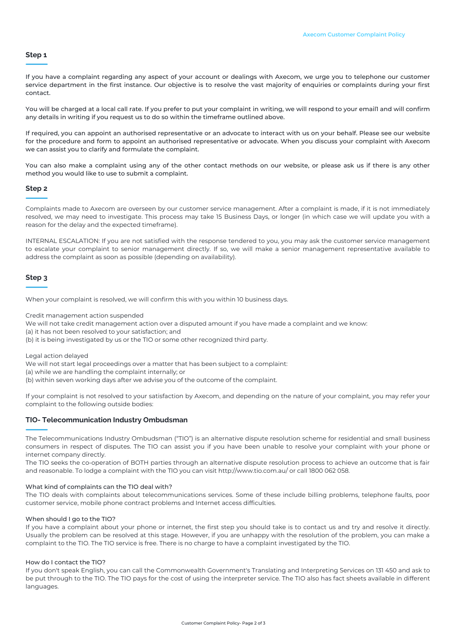## **Step 1**

If you have a complaint regarding any aspect of your account or dealings with Axecom, we urge you to telephone our customer service department in the first instance. Our objective is to resolve the vast majority of enquiries or complaints during your first contact.

You will be charged at a local call rate. If you prefer to put your complaint in writing, we will respond to your email1 and will confirm any details in writing if you request us to do so within the timeframe outlined above.

If required, you can appoint an authorised representative or an advocate to interact with us on your behalf. Please see our website for the procedure and form to appoint an authorised representative or advocate. When you discuss your complaint with Axecom we can assist you to clarify and formulate the complaint.

You can also make a complaint using any of the other contact methods on our website, or please ask us if there is any other method you would like to use to submit a complaint.

## **Step 2**

Complaints made to Axecom are overseen by our customer service management. After a complaint is made, if it is not immediately resolved, we may need to investigate. This process may take 15 Business Days, or longer (in which case we will update you with a reason for the delay and the expected timeframe).

INTERNAL ESCALATION: If you are not satisfied with the response tendered to you, you may ask the customer service management to escalate your complaint to senior management directly. If so, we will make a senior management representative available to address the complaint as soon as possible (depending on availability).

# **Step 3**

When your complaint is resolved, we will confirm this with you within 10 business days.

Credit management action suspended

We will not take credit management action over a disputed amount if you have made a complaint and we know:

(a) it has not been resolved to your satisfaction; and

(b) it is being investigated by us or the TIO or some other recognized third party.

Legal action delayed

We will not start legal proceedings over a matter that has been subject to a complaint:

(a) while we are handling the complaint internally; or

(b) within seven working days after we advise you of the outcome of the complaint.

If your complaint is not resolved to your satisfaction by Axecom, and depending on the nature of your complaint, you may refer your complaint to the following outside bodies:

### **TIO- Telecommunication Industry Ombudsman**

The Telecommunications Industry Ombudsman ("TIO") is an alternative dispute resolution scheme for residential and small business consumers in respect of disputes. The TIO can assist you if you have been unable to resolve your complaint with your phone or internet company directly.

The TIO seeks the co-operation of BOTH parties through an alternative dispute resolution process to achieve an outcome that is fair and reasonable. To lodge a complaint with the TlO you can visit http://www.tio.com.au/ or call 1800 062 058.

#### What kind of complaints can the TIO deal with?

The TIO deals with complaints about telecommunications services. Some of these include billing problems, telephone faults, poor customer service, mobile phone contract problems and Internet access difficulties.

#### When should I go to the TIO?

If you have a complaint about your phone or internet, the first step you should take is to contact us and try and resolve it directly. Usually the problem can be resolved at this stage. However, if you are unhappy with the resolution of the problem, you can make a complaint to the TIO. The TIO service is free. There is no charge to have a complaint investigated by the TIO.

## How do I contact the TIO?

If you don't speak English, you can call the Commonwealth Government's Translating and Interpreting Services on 131 450 and ask to be put through to the TIO. The TIO pays for the cost of using the interpreter service. The TIO also has fact sheets available in different languages.